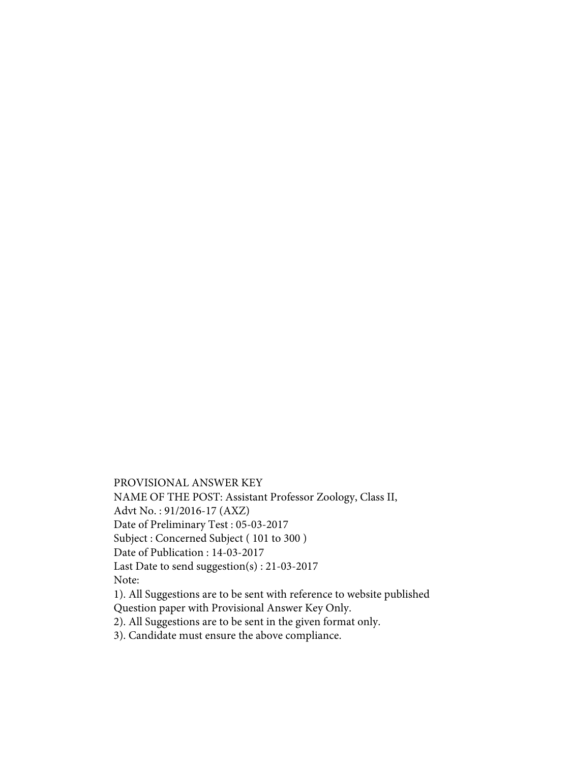PROVISIONAL ANSWER KEY

NAME OF THE POST: Assistant Professor Zoology, Class II,

Advt No. : 91/2016-17 (AXZ)

Date of Preliminary Test : 05-03-2017

Subject : Concerned Subject ( 101 to 300 )

Date of Publication : 14-03-2017

Last Date to send suggestion(s) : 21-03-2017

Note:

1). All Suggestions are to be sent with reference to website published Question paper with Provisional Answer Key Only.

2). All Suggestions are to be sent in the given format only.

3). Candidate must ensure the above compliance.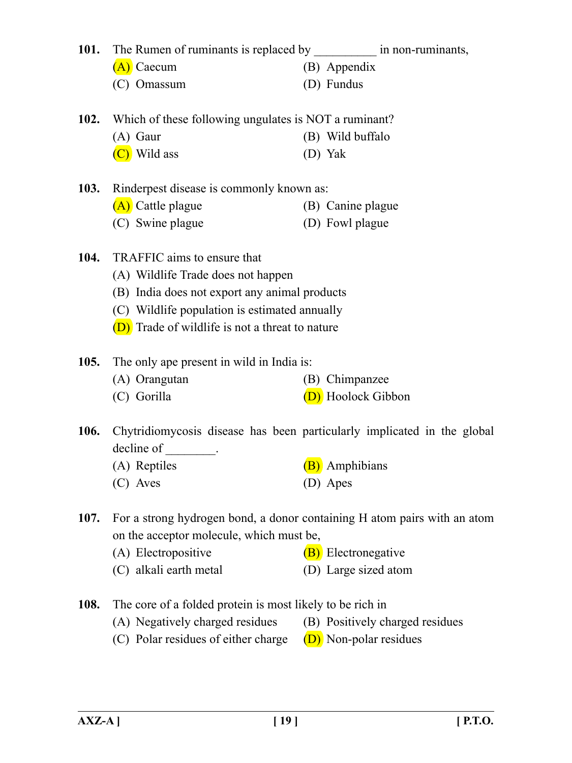| <b>101.</b> | The Rumen of ruminants is replaced by _______________ in non-ruminants, |                                                                          |
|-------------|-------------------------------------------------------------------------|--------------------------------------------------------------------------|
|             | (A) Caecum                                                              | (B) Appendix                                                             |
|             | (C) Omassum                                                             | (D) Fundus                                                               |
|             | 102. Which of these following ungulates is NOT a ruminant?              |                                                                          |
|             | $(A)$ Gaur                                                              | (B) Wild buffalo                                                         |
|             | (C) Wild ass                                                            | (D) Yak                                                                  |
| 103.        | Rinderpest disease is commonly known as:                                |                                                                          |
|             | (A) Cattle plague                                                       | (B) Canine plague                                                        |
|             | (C) Swine plague                                                        | (D) Fowl plague                                                          |
| 104.        | TRAFFIC aims to ensure that                                             |                                                                          |
|             | (A) Wildlife Trade does not happen                                      |                                                                          |
|             | (B) India does not export any animal products                           |                                                                          |
|             | (C) Wildlife population is estimated annually                           |                                                                          |
|             | (D) Trade of wildlife is not a threat to nature                         |                                                                          |
| <b>105.</b> | The only ape present in wild in India is:                               |                                                                          |
|             | (A) Orangutan                                                           | (B) Chimpanzee                                                           |
|             | (C) Gorilla                                                             | (D) Hoolock Gibbon                                                       |
| <b>106.</b> |                                                                         | Chytridiomycosis disease has been particularly implicated in the global  |
|             | decline of _________.                                                   |                                                                          |
|             | (A) Reptiles                                                            | <b>(B)</b> Amphibians                                                    |
|             | (C) Aves                                                                | (D) Apes                                                                 |
| 107.        |                                                                         | For a strong hydrogen bond, a donor containing H atom pairs with an atom |
|             | on the acceptor molecule, which must be,                                |                                                                          |
|             | (A) Electropositive                                                     | (B) Electronegative                                                      |
|             | (C) alkali earth metal                                                  | (D) Large sized atom                                                     |
| 108.        | The core of a folded protein is most likely to be rich in               |                                                                          |
|             | (A) Negatively charged residues                                         | (B) Positively charged residues                                          |
|             | (C) Polar residues of either charge                                     | (D) Non-polar residues                                                   |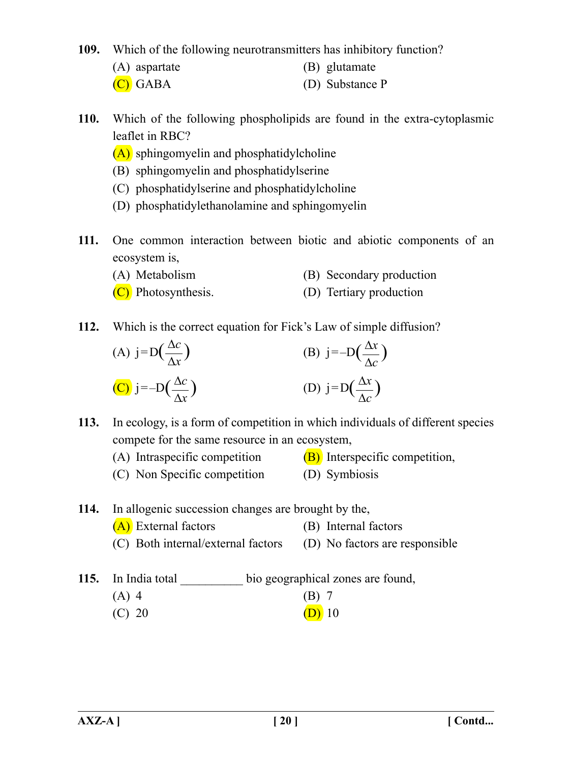**109.** Which of the following neurotransmitters has inhibitory function?

- (A) aspartate (B) glutamate
- (C) GABA (D) Substance P
- **110.** Which of the following phospholipids are found in the extra-cytoplasmic leaflet in RBC?
	- (A) sphingomyelin and phosphatidylcholine
	- (B) sphingomyelin and phosphatidylserine
	- (C) phosphatidylserine and phosphatidylcholine
	- (D) phosphatidylethanolamine and sphingomyelin
- **111.** One common interaction between biotic and abiotic components of an ecosystem is,
	- (A) Metabolism (B) Secondary production
	- (C) Photosynthesis. (D) Tertiary production
- **112.** Which is the correct equation for Fick's Law of simple diffusion?

(A) 
$$
j=D(\frac{\Delta c}{\Delta x})
$$
  
\n(B)  $j=-D(\frac{\Delta x}{\Delta c})$   
\n(C)  $j=-D(\frac{\Delta c}{\Delta x})$   
\n(D)  $j=D(\frac{\Delta x}{\Delta c})$ 

**113.** In ecology, is a form of competition in which individuals of different species compete for the same resource in an ecosystem,

- (A) Intraspecific competition  $(B)$  Interspecific competition,
- (C) Non Specific competition (D) Symbiosis

**114.** In allogenic succession changes are brought by the,

- (A) External factors (B) Internal factors (C) Both internal/external factors (D) No factors are responsible
- 115. In India total bio geographical zones are found,
	- (A) 4 (B) 7
	- (C) 20 (D) 10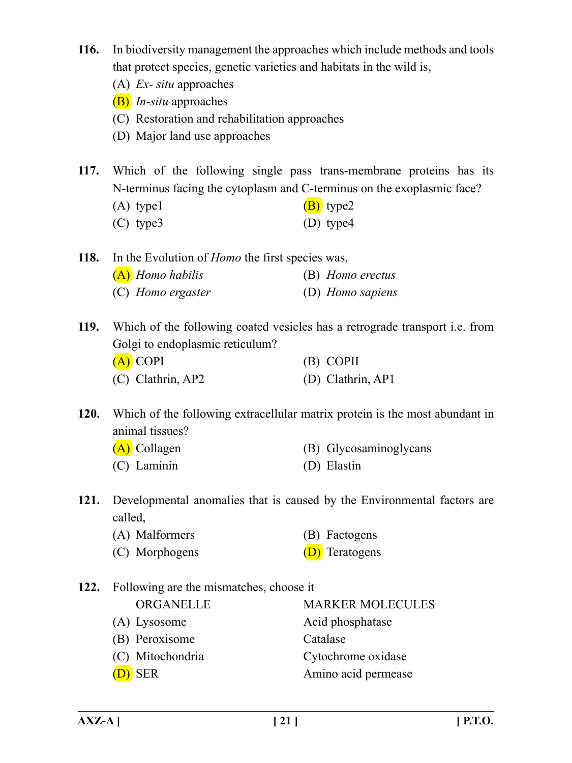- **116.** In biodiversity management the approaches which include methods and tools that protect species, genetic varieties and habitats in the wild is,
	- (A) *Ex- situ* approaches
	- (B) *In-situ* approaches
	- (C) Restoration and rehabilitation approaches
	- (D) Major land use approaches
- **117.** Which of the following single pass trans-membrane proteins has its N-terminus facing the cytoplasm and C-terminus on the exoplasmic face?
	- (A) type1  $(B)$  type2
	- (C) type3 (D) type4

**118.** In the Evolution of *Homo* the first species was,

| $(A)$ Homo habilis | (B) Homo erectus |
|--------------------|------------------|
| (C) Homo ergaster  | (D) Homo sapiens |

**119.** Which of the following coated vesicles has a retrograde transport i.e. from Golgi to endoplasmic reticulum? (A) COPI (B) COPII (C) Clathrin, AP2 (D) Clathrin, AP1

**120.** Which of the following extracellular matrix protein is the most abundant in animal tissues?

| (A) Collagen  | (B) Glycosaminoglycans |
|---------------|------------------------|
| $(C)$ Laminin | (D) Elastin            |

- **121.** Developmental anomalies that is caused by the Environmental factors are called,
	- (A) Malformers (B) Factogens
	- (C) Morphogens (D) Teratogens
- **122.** Following are the mismatches, choose it ORGANELLE MARKER MOLECULES (A) Lysosome Acid phosphatase (B) Peroxisome Catalase (C) Mitochondria Cytochrome oxidase (D) SER Amino acid permease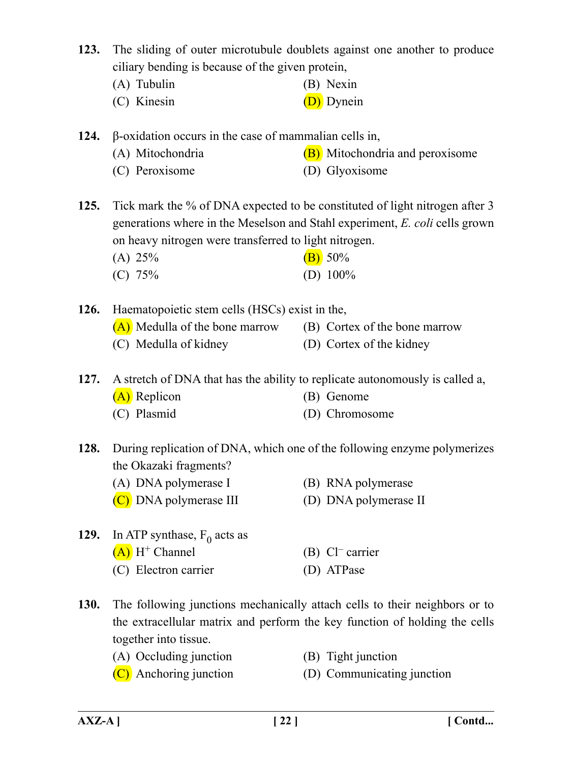**123.** The sliding of outer microtubule doublets against one another to produce ciliary bending is because of the given protein,

- (A) Tubulin (B) Nexin
- (C) Kinesin (D) Dynein

**124.** β-oxidation occurs in the case of mammalian cells in,

- (A) Mitochondria  $(B)$  Mitochondria and peroxisome
- (C) Peroxisome (D) Glyoxisome

**125.** Tick mark the % of DNA expected to be constituted of light nitrogen after 3 generations where in the Meselson and Stahl experiment, *E. coli* cells grown on heavy nitrogen were transferred to light nitrogen.

(A)  $25\%$  (B)  $50\%$ (C) 75% (D) 100%

**126.** Haematopoietic stem cells (HSCs) exist in the,

- (A) Medulla of the bone marrow (B) Cortex of the bone marrow
- 
- (C) Medulla of kidney (D) Cortex of the kidney

**127.** A stretch of DNA that has the ability to replicate autonomously is called a,

- (A) Replicon (B) Genome
- (C) Plasmid (D) Chromosome

**128.** During replication of DNA, which one of the following enzyme polymerizes the Okazaki fragments?

- (A) DNA polymerase I (B) RNA polymerase
- (C) DNA polymerase III (D) DNA polymerase II
	-
- **129.** In ATP synthase,  $F_0$  acts as  $(A)$  H<sup>+</sup> Channel (B) Cl<sup>–</sup> carrier (C) Electron carrier (D) ATPase
- **130.** The following junctions mechanically attach cells to their neighbors or to the extracellular matrix and perform the key function of holding the cells together into tissue.
	- (A) Occluding junction (B) Tight junction
		-
	- (C) Anchoring junction (D) Communicating junction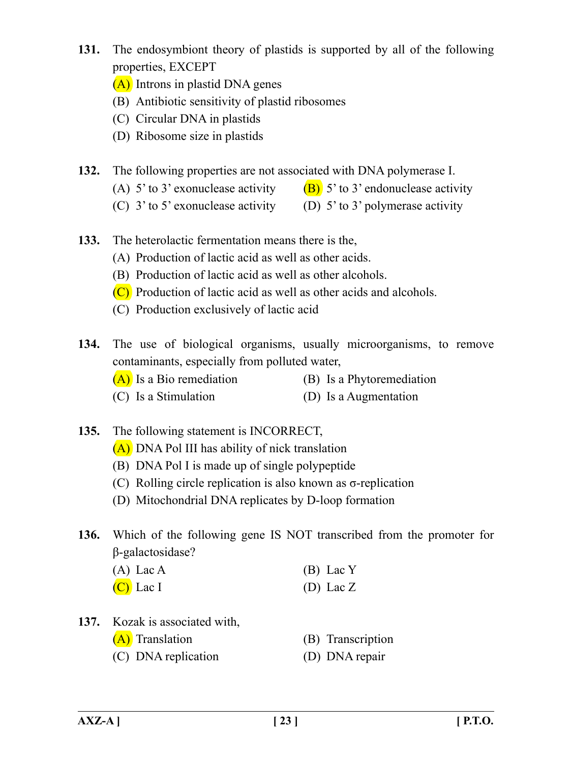- **131.** The endosymbiont theory of plastids is supported by all of the following properties, EXCEPT
	- (A) Introns in plastid DNA genes
	- (B) Antibiotic sensitivity of plastid ribosomes
	- (C) Circular DNA in plastids
	- (D) Ribosome size in plastids
- **132.** The following properties are not associated with DNA polymerase I.
	- (A) 5' to 3' exonuclease activity  $(B)$  5' to 3' endonuclease activity
	- (C)  $3'$  to  $5'$  exonuclease activity (D)  $5'$  to  $3'$  polymerase activity
- **133.** The heterolactic fermentation means there is the,
	- (A) Production of lactic acid as well as other acids.
	- (B) Production of lactic acid as well as other alcohols.
	- (C) Production of lactic acid as well as other acids and alcohols.
	- (C) Production exclusively of lactic acid
- **134.** The use of biological organisms, usually microorganisms, to remove contaminants, especially from polluted water,
	- $(A)$  Is a Bio remediation (B) Is a Phytoremediation
	- (C) Is a Stimulation (D) Is a Augmentation
- **135.** The following statement is INCORRECT,
	- (A) DNA Pol III has ability of nick translation
	- (B) DNA Pol I is made up of single polypeptide
	- (C) Rolling circle replication is also known as σ-replication
	- (D) Mitochondrial DNA replicates by D-loop formation
- **136.** Which of the following gene IS NOT transcribed from the promoter for β-galactosidase?
	- (A) Lac A (B) Lac Y  $(C)$  Lac I (D) Lac Z
- **137.** Kozak is associated with,
	- (A) Translation (B) Transcription
	- (C) DNA replication (D) DNA repair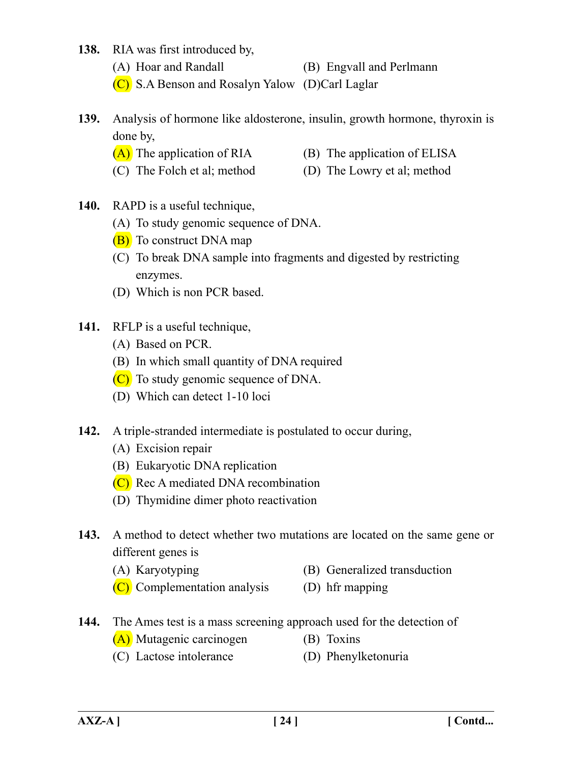- **138.** RIA was first introduced by,
	- (A) Hoar and Randall (B) Engvall and Perlmann
	- (C) S.A Benson and Rosalyn Yalow (D)Carl Laglar
- **139.** Analysis of hormone like aldosterone, insulin, growth hormone, thyroxin is done by,
	- $(A)$  The application of RIA (B) The application of ELISA
	- (C) The Folch et al; method (D) The Lowry et al; method
- **140.** RAPD is a useful technique,
	- (A) To study genomic sequence of DNA.
	- (B) To construct DNA map
	- (C) To break DNA sample into fragments and digested by restricting enzymes.
	- (D) Which is non PCR based.
- **141.** RFLP is a useful technique,
	- (A) Based on PCR.
	- (B) In which small quantity of DNA required
	- (C) To study genomic sequence of DNA.
	- (D) Which can detect 1-10 loci
- **142.** A triple-stranded intermediate is postulated to occur during,
	- (A) Excision repair
	- (B) Eukaryotic DNA replication
	- (C) Rec A mediated DNA recombination
	- (D) Thymidine dimer photo reactivation
- **143.** A method to detect whether two mutations are located on the same gene or different genes is
	- (A) Karyotyping (B) Generalized transduction
	- (C) Complementation analysis (D) hfr mapping
- **144.** The Ames test is a mass screening approach used for the detection of
	- (A) Mutagenic carcinogen (B) Toxins
	- (C) Lactose intolerance (D) Phenylketonuria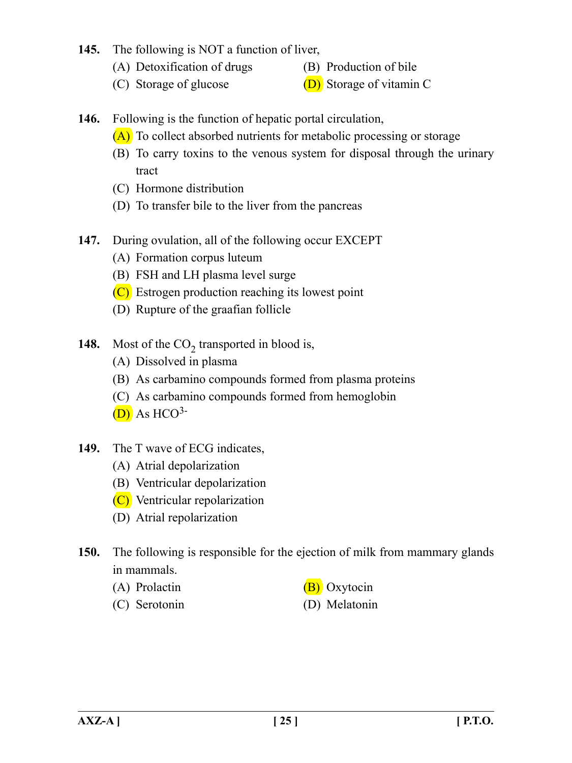## **145.** The following is NOT a function of liver,

- (A) Detoxification of drugs (B) Production of bile
- 
- (C) Storage of glucose  $(D)$  Storage of vitamin C
- **146.** Following is the function of hepatic portal circulation,
	- (A) To collect absorbed nutrients for metabolic processing or storage
	- (B) To carry toxins to the venous system for disposal through the urinary tract
	- (C) Hormone distribution
	- (D) To transfer bile to the liver from the pancreas
- **147.** During ovulation, all of the following occur EXCEPT
	- (A) Formation corpus luteum
	- (B) FSH and LH plasma level surge
	- (C) Estrogen production reaching its lowest point
	- (D) Rupture of the graafian follicle
- **148.** Most of the  $CO<sub>2</sub>$  transported in blood is,
	- (A) Dissolved in plasma
	- (B) As carbamino compounds formed from plasma proteins
	- (C) As carbamino compounds formed from hemoglobin
	- $(D)$  As HCO<sup>3-</sup>
- **149.** The T wave of ECG indicates,
	- (A) Atrial depolarization
	- (B) Ventricular depolarization
	- (C) Ventricular repolarization
	- (D) Atrial repolarization
- **150.** The following is responsible for the ejection of milk from mammary glands in mammals.
	- (A) Prolactin  $(B)$  Oxytocin
	- (C) Serotonin (D) Melatonin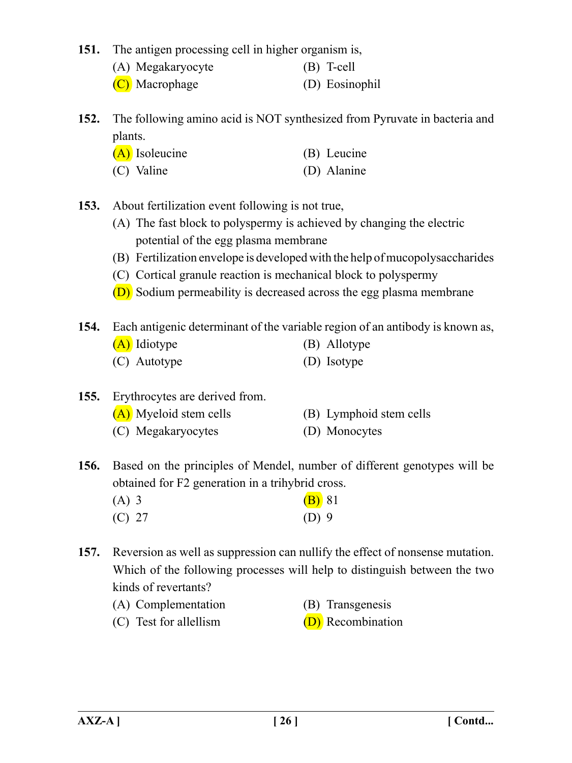**151.** The antigen processing cell in higher organism is,

- (A) Megakaryocyte (B) T-cell
- (C) Macrophage (D) Eosinophil

**152.** The following amino acid is NOT synthesized from Pyruvate in bacteria and plants.

| $(A)$ Isoleucine | (B) Leucine |
|------------------|-------------|
| (C) Valine       | (D) Alanine |

**153.** About fertilization event following is not true,

- (A) The fast block to polyspermy is achieved by changing the electric potential of the egg plasma membrane
- (B) Fertilization envelope is developed with the help of mucopolysaccharides
- (C) Cortical granule reaction is mechanical block to polyspermy
- (D) Sodium permeability is decreased across the egg plasma membrane

**154.** Each antigenic determinant of the variable region of an antibody is known as,

- (A) Idiotype (B) Allotype (C) Autotype (D) Isotype
- **155.** Erythrocytes are derived from.
	- (A) Myeloid stem cells (B) Lymphoid stem cells
	- (C) Megakaryocytes (D) Monocytes

**156.** Based on the principles of Mendel, number of different genotypes will be obtained for F2 generation in a trihybrid cross.

| $(A)$ 3 | <b>(B)</b> 81 |  |
|---------|---------------|--|
| (C) 27  | $(D)$ 9       |  |

- **157.** Reversion as well as suppression can nullify the effect of nonsense mutation. Which of the following processes will help to distinguish between the two kinds of revertants?
	- (A) Complementation (B) Transgenesis (C) Test for all ellism  $(D)$  Recombination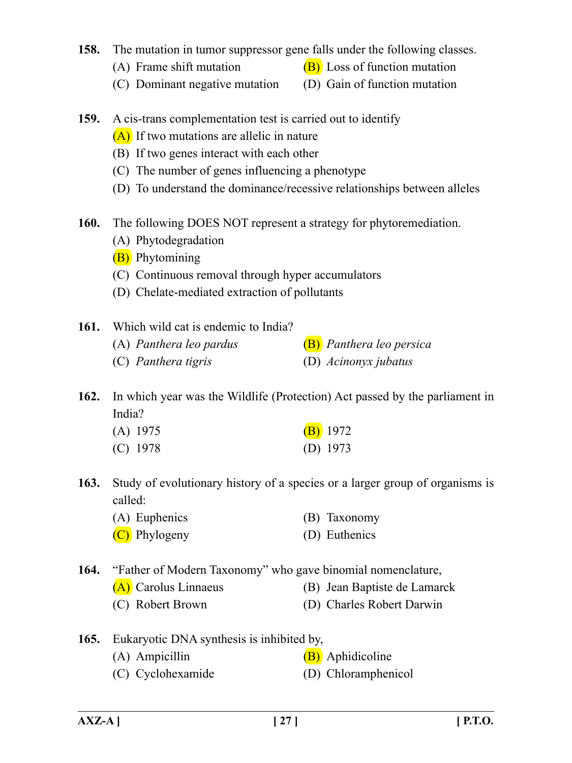## **158.** The mutation in tumor suppressor gene falls under the following classes.

- (A) Frame shift mutation  $(B)$  Loss of function mutation
- (C) Dominant negative mutation (D) Gain of function mutation
- **159.** A cis-trans complementation test is carried out to identify
	- (A) If two mutations are allelic in nature
	- (B) If two genes interact with each other
	- (C) The number of genes influencing a phenotype
	- (D) To understand the dominance/recessive relationships between alleles
- **160.** The following DOES NOT represent a strategy for phytoremediation.
	- (A) Phytodegradation
	- (B) Phytomining
	- (C) Continuous removal through hyper accumulators
	- (D) Chelate-mediated extraction of pollutants
- **161.** Which wild cat is endemic to India?
	- (A) *Panthera leo pardus* (B) *Panthera leo persica* (C) *Panthera tigris* (D) *Acinonyx jubatus*
- **162.** In which year was the Wildlife (Protection) Act passed by the parliament in India?

| $(A)$ 1975 | $(B)$ 1972 |
|------------|------------|
| $(C)$ 1978 | (D) $1973$ |

- **163.** Study of evolutionary history of a species or a larger group of organisms is called:
	- (A) Euphenics (B) Taxonomy
	- (C) Phylogeny (D) Euthenics
- **164.** "Father of Modern Taxonomy" who gave binomial nomenclature,
	- (A) Carolus Linnaeus (B) Jean Baptiste de Lamarck
	- (C) Robert Brown (D) Charles Robert Darwin
- **165.** Eukaryotic DNA synthesis is inhibited by,
	- (A) Ampicillin (B) Aphidicoline
	- (C) Cyclohexamide (D) Chloramphenicol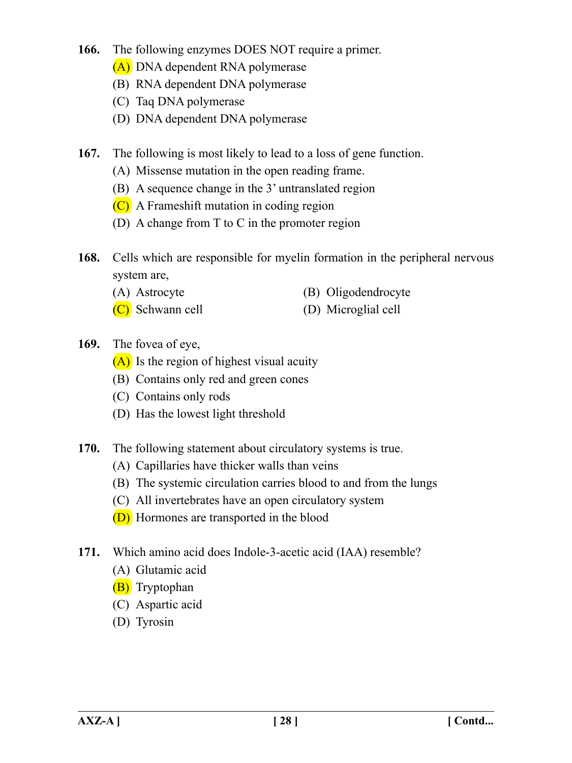- **166.** The following enzymes DOES NOT require a primer.
	- (A) DNA dependent RNA polymerase
	- (B) RNA dependent DNA polymerase
	- (C) Taq DNA polymerase
	- (D) DNA dependent DNA polymerase
- **167.** The following is most likely to lead to a loss of gene function.
	- (A) Missense mutation in the open reading frame.
	- (B) A sequence change in the 3' untranslated region
	- (C) A Frameshift mutation in coding region
	- (D) A change from T to C in the promoter region
- **168.** Cells which are responsible for myelin formation in the peripheral nervous system are,
	- (A) Astrocyte (B) Oligodendrocyte
	- (C) Schwann cell (D) Microglial cell
- **169.** The fovea of eye,
	- $(A)$  Is the region of highest visual acuity
	- (B) Contains only red and green cones
	- (C) Contains only rods
	- (D) Has the lowest light threshold
- **170.** The following statement about circulatory systems is true.
	- (A) Capillaries have thicker walls than veins
	- (B) The systemic circulation carries blood to and from the lungs
	- (C) All invertebrates have an open circulatory system
	- (D) Hormones are transported in the blood
- **171.** Which amino acid does Indole-3-acetic acid (IAA) resemble?
	- (A) Glutamic acid
	- (B) Tryptophan
	- (C) Aspartic acid
	- (D) Tyrosin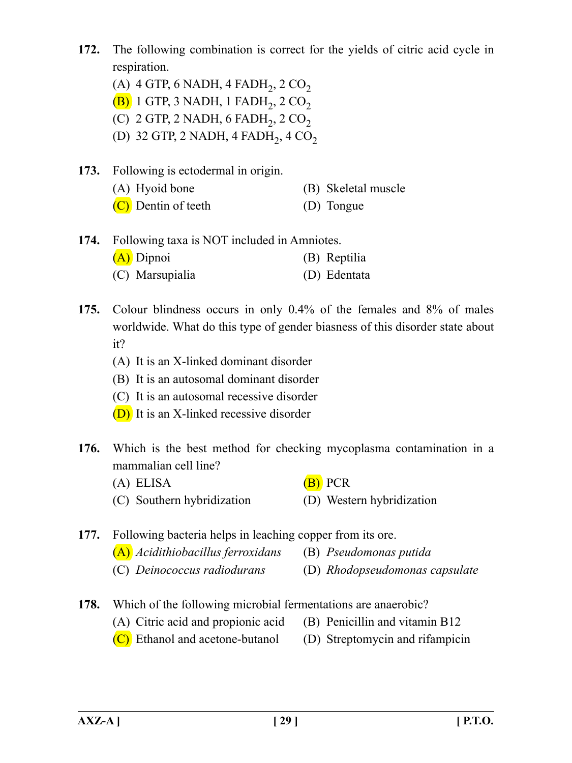- **172.** The following combination is correct for the yields of citric acid cycle in respiration.
	- (A) 4 GTP, 6 NADH, 4 FADH $_2$ , 2 CO<sub>2</sub>
	- $(B)$  1 GTP, 3 NADH, 1 FADH<sub>2</sub>, 2 CO<sub>2</sub>
	- (C) 2 GTP, 2 NADH, 6 FADH<sub>2</sub>, 2 CO<sub>2</sub>
	- (D) 32 GTP, 2 NADH, 4 FADH<sub>2</sub>, 4 CO<sub>2</sub>
- **173.** Following is ectodermal in origin.
	- (A) Hyoid bone (B) Skeletal muscle
	- (C) Dentin of teeth (D) Tongue
- **174.** Following taxa is NOT included in Amniotes. (A) Dipnoi (B) Reptilia (C) Marsupialia (D) Edentata
- **175.** Colour blindness occurs in only 0.4% of the females and 8% of males worldwide. What do this type of gender biasness of this disorder state about it?
	- (A) It is an X-linked dominant disorder
	- (B) It is an autosomal dominant disorder
	- (C) It is an autosomal recessive disorder
	- (D) It is an X-linked recessive disorder
- **176.** Which is the best method for checking mycoplasma contamination in a mammalian cell line?
	- (A) ELISA  $(B)$  PCR
	- (C) Southern hybridization (D) Western hybridization
- **177.** Following bacteria helps in leaching copper from its ore.
	- (A) *Acidithiobacillus ferroxidans* (B) *Pseudomonas putida*
	- (C) *Deinococcus radiodurans* (D) *Rhodopseudomonas capsulate*
- **178.** Which of the following microbial fermentations are anaerobic?
	- (A) Citric acid and propionic acid (B) Penicillin and vitamin B12
		-
	- $(C)$  Ethanol and acetone-butanol (D) Streptomycin and rifampicin
-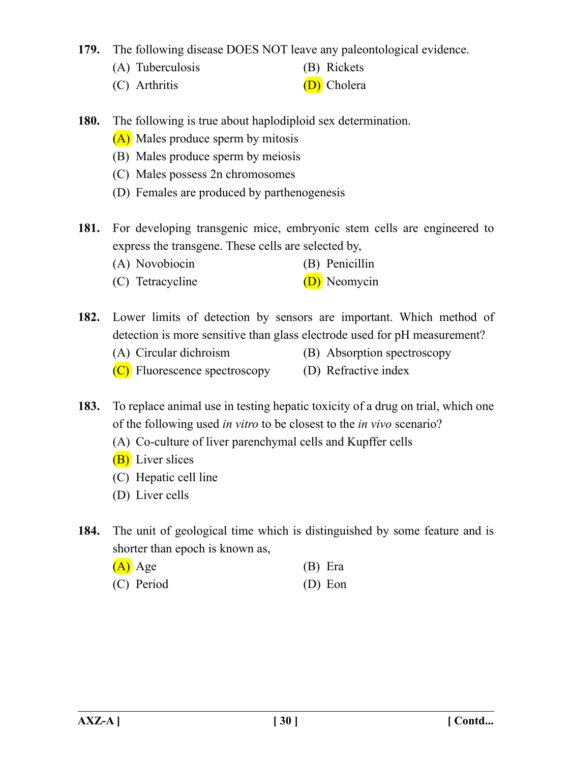**179.** The following disease DOES NOT leave any paleontological evidence.

- (A) Tuberculosis (B) Rickets
- 
- (C) Arthritis (D) Cholera
- **180.** The following is true about haplodiploid sex determination.
	- (A) Males produce sperm by mitosis
	- (B) Males produce sperm by meiosis
	- (C) Males possess 2n chromosomes
	- (D) Females are produced by parthenogenesis
- **181.** For developing transgenic mice, embryonic stem cells are engineered to express the transgene. These cells are selected by,
	- (A) Novobiocin (B) Penicillin
	- (C) Tetracycline (D) Neomycin
- **182.** Lower limits of detection by sensors are important. Which method of detection is more sensitive than glass electrode used for pH measurement?
	- (A) Circular dichroism (B) Absorption spectroscopy
	- (C) Fluorescence spectroscopy (D) Refractive index
- **183.** To replace animal use in testing hepatic toxicity of a drug on trial, which one of the following used *in vitro* to be closest to the *in vivo* scenario?
	- (A) Co-culture of liver parenchymal cells and Kupffer cells
	- **(B)** Liver slices
	- (C) Hepatic cell line
	- (D) Liver cells
- **184.** The unit of geological time which is distinguished by some feature and is shorter than epoch is known as,

| $(A)$ Age  | $(B)$ Era |
|------------|-----------|
| (C) Period | $(D)$ Eon |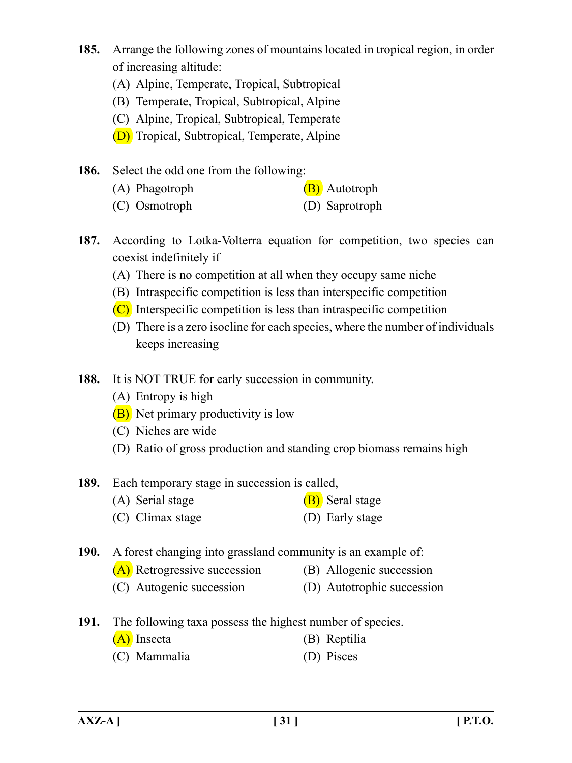- **185.** Arrange the following zones of mountains located in tropical region, in order of increasing altitude:
	- (A) Alpine, Temperate, Tropical, Subtropical
	- (B) Temperate, Tropical, Subtropical, Alpine
	- (C) Alpine, Tropical, Subtropical, Temperate
	- (D) Tropical, Subtropical, Temperate, Alpine
- **186.** Select the odd one from the following:
	- (A) Phagotroph (B) Autotroph
	- (C) Osmotroph (D) Saprotroph
- **187.** According to Lotka-Volterra equation for competition, two species can coexist indefinitely if
	- (A) There is no competition at all when they occupy same niche
	- (B) Intraspecific competition is less than interspecific competition
	- $(C)$  Interspecific competition is less than intraspecific competition
	- (D) There is a zero isocline for each species, where the number of individuals keeps increasing
- **188.** It is NOT TRUE for early succession in community.
	- (A) Entropy is high
	- (B) Net primary productivity is low
	- (C) Niches are wide
	- (D) Ratio of gross production and standing crop biomass remains high
- **189.** Each temporary stage in succession is called,
	- (A) Serial stage  $(B)$  Seral stage
	- (C) Climax stage (D) Early stage

**190.** A forest changing into grassland community is an example of:

- (A) Retrogressive succession (B) Allogenic succession
- (C) Autogenic succession (D) Autotrophic succession
- **191.** The following taxa possess the highest number of species.
	- (A) Insecta (B) Reptilia
	- (C) Mammalia (D) Pisces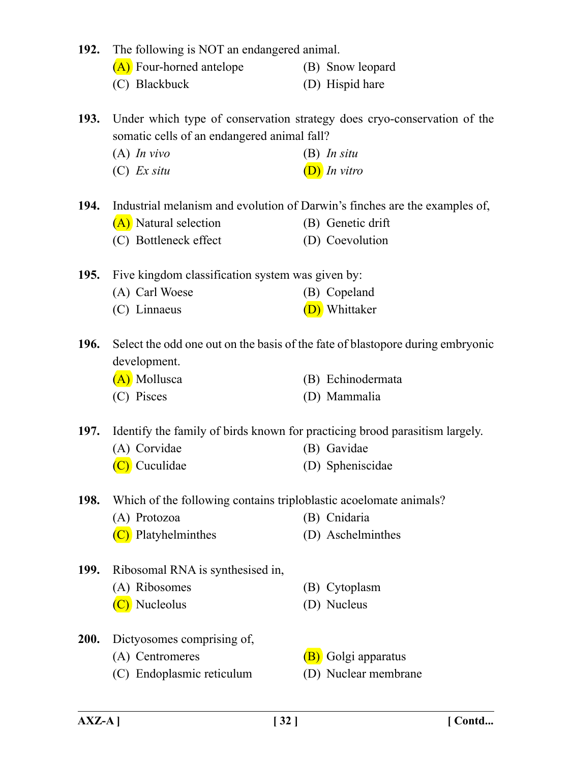| 192.        | The following is NOT an endangered animal.                                  |                                                                                |
|-------------|-----------------------------------------------------------------------------|--------------------------------------------------------------------------------|
|             | (A) Four-horned antelope                                                    | (B) Snow leopard                                                               |
|             | (C) Blackbuck                                                               | (D) Hispid hare                                                                |
| <b>193.</b> | somatic cells of an endangered animal fall?                                 | Under which type of conservation strategy does cryo-conservation of the        |
|             | $(A)$ In vivo                                                               | $(B)$ In situ                                                                  |
|             | $(C)$ <i>Ex situ</i>                                                        | $(D)$ In vitro                                                                 |
| 194.        |                                                                             | Industrial melanism and evolution of Darwin's finches are the examples of,     |
|             | (A) Natural selection                                                       | (B) Genetic drift                                                              |
|             | (C) Bottleneck effect                                                       | (D) Coevolution                                                                |
| <b>195.</b> | Five kingdom classification system was given by:                            |                                                                                |
|             | (A) Carl Woese                                                              | (B) Copeland                                                                   |
|             | (C) Linnaeus                                                                | (D) Whittaker                                                                  |
| <b>196.</b> | development.                                                                | Select the odd one out on the basis of the fate of blastopore during embryonic |
|             | (A) Mollusca                                                                | (B) Echinodermata                                                              |
|             | (C) Pisces                                                                  | (D) Mammalia                                                                   |
| <b>197.</b> | Identify the family of birds known for practicing brood parasitism largely. |                                                                                |
|             | (A) Corvidae                                                                | (B) Gavidae                                                                    |
|             | (C) Cuculidae                                                               | (D) Spheniscidae                                                               |
| 198.        | Which of the following contains triploblastic acoelomate animals?           |                                                                                |
|             | (A) Protozoa                                                                | (B) Cnidaria                                                                   |
|             | (C) Platyhelminthes                                                         | (D) Aschelminthes                                                              |
| <b>199.</b> | Ribosomal RNA is synthesised in,                                            |                                                                                |
|             | (A) Ribosomes                                                               | (B) Cytoplasm                                                                  |
|             | (C) Nucleolus                                                               | (D) Nucleus                                                                    |
| 200.        | Dictyosomes comprising of,                                                  |                                                                                |
|             | (A) Centromeres                                                             | (B) Golgi apparatus                                                            |
|             | (C) Endoplasmic reticulum                                                   | (D) Nuclear membrane                                                           |
|             |                                                                             |                                                                                |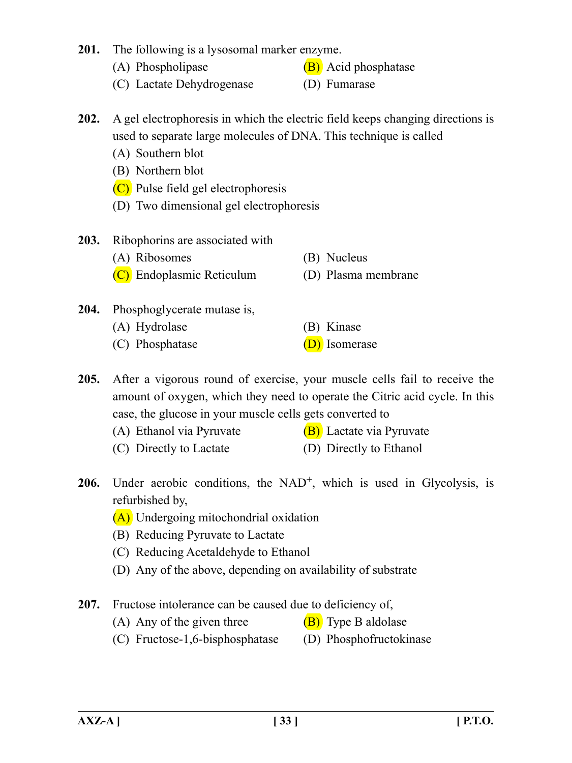## **201.** The following is a lysosomal marker enzyme.

- 
- (A) Phospholipase  $(B)$  Acid phosphatase
- (C) Lactate Dehydrogenase (D) Fumarase
	-
- **202.** A gel electrophoresis in which the electric field keeps changing directions is used to separate large molecules of DNA. This technique is called
	- (A) Southern blot
	- (B) Northern blot
	- (C) Pulse field gel electrophoresis
	- (D) Two dimensional gel electrophoresis
- **203.** Ribophorins are associated with
	- (A) Ribosomes (B) Nucleus
	- (C) Endoplasmic Reticulum (D) Plasma membrane
- **204.** Phosphoglycerate mutase is,
	- (A) Hydrolase (B) Kinase
	- (C) Phosphatase  $(D)$  Isomerase
- 
- 
- **205.** After a vigorous round of exercise, your muscle cells fail to receive the amount of oxygen, which they need to operate the Citric acid cycle. In this case, the glucose in your muscle cells gets converted to
	- (A) Ethanol via Pyruvate  $(B)$  Lactate via Pyruvate
		-
	- (C) Directly to Lactate (D) Directly to Ethanol
- **206.** Under aerobic conditions, the NAD<sup>+</sup>, which is used in Glycolysis, is refurbished by,
	- (A) Undergoing mitochondrial oxidation
	- (B) Reducing Pyruvate to Lactate
	- (C) Reducing Acetaldehyde to Ethanol
	- (D) Any of the above, depending on availability of substrate
- **207.** Fructose intolerance can be caused due to deficiency of,
	- (A) Any of the given three  $(B)$  Type B aldolase
	- (C) Fructose-1,6-bisphosphatase (D) Phosphofructokinase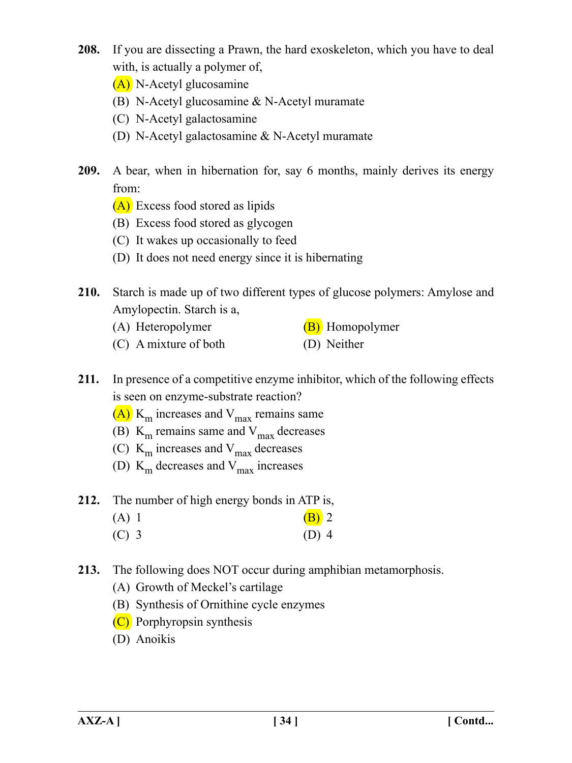- **208.** If you are dissecting a Prawn, the hard exoskeleton, which you have to deal with, is actually a polymer of,
	- (A) N-Acetyl glucosamine
	- (B) N-Acetyl glucosamine & N-Acetyl muramate
	- (C) N-Acetyl galactosamine
	- (D) N-Acetyl galactosamine & N-Acetyl muramate
- **209.** A bear, when in hibernation for, say 6 months, mainly derives its energy from:
	- (A) Excess food stored as lipids
	- (B) Excess food stored as glycogen
	- (C) It wakes up occasionally to feed
	- (D) It does not need energy since it is hibernating
- **210.** Starch is made up of two different types of glucose polymers: Amylose and Amylopectin. Starch is a,
	- (A) Heteropolymer  $(B)$  Homopolymer
	- (C) A mixture of both (D) Neither
- **211.** In presence of a competitive enzyme inhibitor, which of the following effects is seen on enzyme-substrate reaction?
	- $(A)$  K<sub>m</sub> increases and V<sub>max</sub> remains same
	- (B)  $K<sub>m</sub>$  remains same and  $V<sub>max</sub>$  decreases
	- (C)  $K_m$  increases and  $V_{max}$  decreases
	- (D)  $K<sub>m</sub>$  decreases and  $V<sub>max</sub>$  increases
- **212.** The number of high energy bonds in ATP is,
	- (A) 1 (B) 2  $(C)$  3 (D) 4
	-
- **213.** The following does NOT occur during amphibian metamorphosis.
	- (A) Growth of Meckel's cartilage
	- (B) Synthesis of Ornithine cycle enzymes
	- (C) Porphyropsin synthesis
	- (D) Anoikis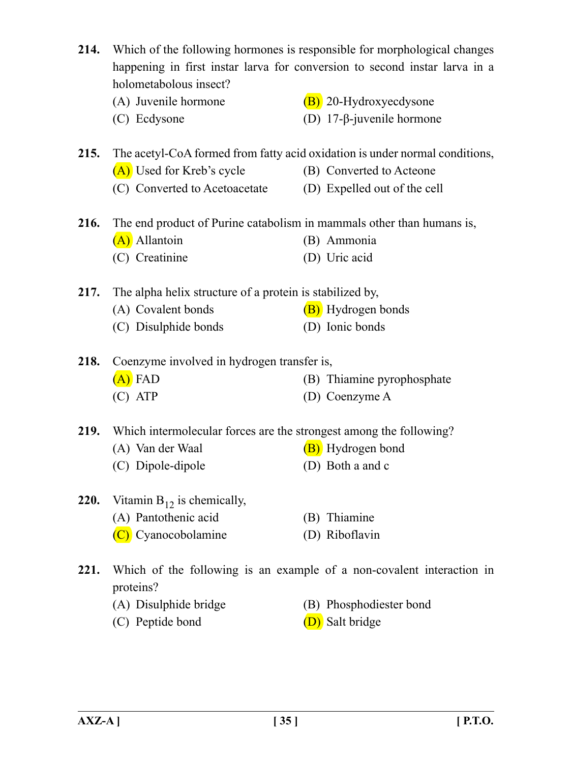|      | 214. Which of the following hormones is responsible for morphological changes<br>happening in first instar larva for conversion to second instar larva in a<br>holometabolous insect? |                                                                             |  |
|------|---------------------------------------------------------------------------------------------------------------------------------------------------------------------------------------|-----------------------------------------------------------------------------|--|
|      | (A) Juvenile hormone                                                                                                                                                                  | (B) 20-Hydroxyecdysone                                                      |  |
|      | (C) Ecdysone                                                                                                                                                                          | (D) 17- $\beta$ -juvenile hormone                                           |  |
| 215. |                                                                                                                                                                                       | The acetyl-CoA formed from fatty acid oxidation is under normal conditions, |  |
|      | (A) Used for Kreb's cycle                                                                                                                                                             | (B) Converted to Acteone                                                    |  |
|      | (C) Converted to Acetoacetate                                                                                                                                                         | (D) Expelled out of the cell                                                |  |
| 216. | The end product of Purine catabolism in mammals other than humans is,                                                                                                                 |                                                                             |  |
|      | (A) Allantoin                                                                                                                                                                         | (B) Ammonia                                                                 |  |
|      | (C) Creatinine                                                                                                                                                                        | (D) Uric acid                                                               |  |
|      | 217. The alpha helix structure of a protein is stabilized by,                                                                                                                         |                                                                             |  |
|      | (A) Covalent bonds                                                                                                                                                                    | (B) Hydrogen bonds                                                          |  |
|      | (C) Disulphide bonds                                                                                                                                                                  | (D) Ionic bonds                                                             |  |
| 218. | Coenzyme involved in hydrogen transfer is,                                                                                                                                            |                                                                             |  |
|      | $(A)$ FAD                                                                                                                                                                             | (B) Thiamine pyrophosphate                                                  |  |
|      | $(C)$ ATP                                                                                                                                                                             | (D) Coenzyme A                                                              |  |
|      | 219. Which intermolecular forces are the strongest among the following?                                                                                                               |                                                                             |  |
|      | (A) Van der Waal                                                                                                                                                                      | (B) Hydrogen bond                                                           |  |
|      | (C) Dipole-dipole                                                                                                                                                                     | (D) Both a and c                                                            |  |
| 220. | Vitamin $B_{12}$ is chemically,                                                                                                                                                       |                                                                             |  |
|      | (A) Pantothenic acid                                                                                                                                                                  | (B) Thiamine                                                                |  |
|      | (C) Cyanocobolamine                                                                                                                                                                   | (D) Riboflavin                                                              |  |
| 221. | proteins?                                                                                                                                                                             | Which of the following is an example of a non-covalent interaction in       |  |
|      | (A) Disulphide bridge                                                                                                                                                                 | (B) Phosphodiester bond                                                     |  |

- (C) Peptide bond (D) Salt bridge
- -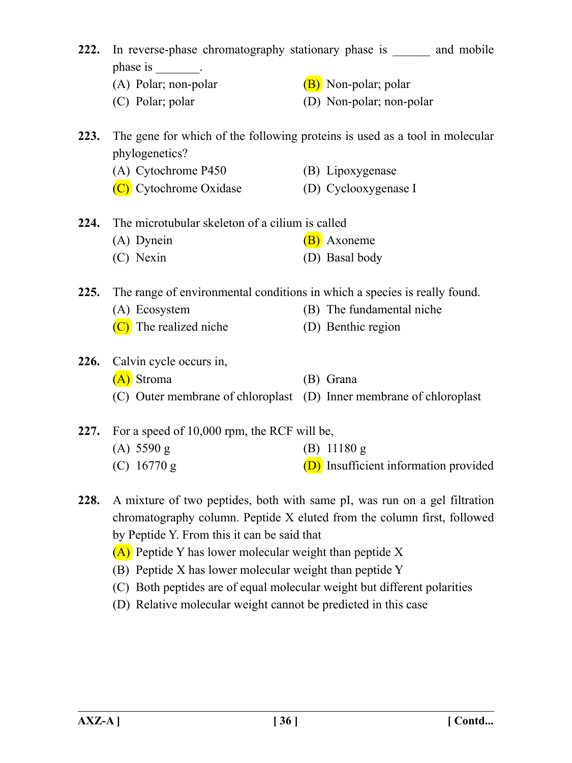| 222. | phase is<br>$\mathcal{L}^{\text{max}}_{\text{max}}$ and $\mathcal{L}^{\text{max}}_{\text{max}}$ | In reverse-phase chromatography stationary phase is and mobile              |
|------|-------------------------------------------------------------------------------------------------|-----------------------------------------------------------------------------|
|      | (A) Polar; non-polar                                                                            | (B) Non-polar; polar                                                        |
|      | (C) Polar; polar                                                                                | (D) Non-polar; non-polar                                                    |
| 223. | phylogenetics?                                                                                  | The gene for which of the following proteins is used as a tool in molecular |
|      | (A) Cytochrome P450                                                                             | (B) Lipoxygenase                                                            |
|      | (C) Cytochrome Oxidase                                                                          | (D) Cyclooxygenase I                                                        |
| 224. | The microtubular skeleton of a cilium is called                                                 |                                                                             |
|      | (A) Dynein                                                                                      | (B) Axoneme                                                                 |
|      | (C) Nexin                                                                                       | (D) Basal body                                                              |
| 225. | The range of environmental conditions in which a species is really found.                       |                                                                             |
|      | (A) Ecosystem                                                                                   | (B) The fundamental niche                                                   |
|      | $(C)$ The realized niche                                                                        | (D) Benthic region                                                          |
| 226. | Calvin cycle occurs in,                                                                         |                                                                             |
|      | (A) Stroma                                                                                      | (B) Grana                                                                   |
|      | (C) Outer membrane of chloroplast (D) Inner membrane of chloroplast                             |                                                                             |
| 227. | For a speed of 10,000 rpm, the RCF will be,                                                     |                                                                             |

- (A) 5590 g (B) 11180 g
- (C)  $16770 \text{ g}$  (D) Insufficient information provided
- **228.** A mixture of two peptides, both with same pI, was run on a gel filtration chromatography column. Peptide X eluted from the column first, followed by Peptide Y. From this it can be said that
	- (A) Peptide Y has lower molecular weight than peptide X
	- (B) Peptide X has lower molecular weight than peptide Y
	- (C) Both peptides are of equal molecular weight but different polarities
	- (D) Relative molecular weight cannot be predicted in this case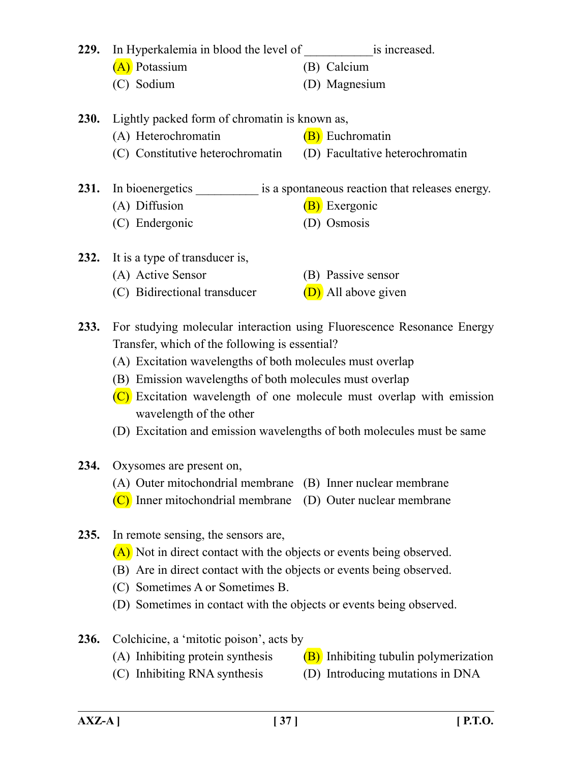|             | 229. In Hyperkalemia in blood the level of is increased.               |                                                                        |  |  |
|-------------|------------------------------------------------------------------------|------------------------------------------------------------------------|--|--|
|             | (A) Potassium                                                          | (B) Calcium                                                            |  |  |
|             | (C) Sodium                                                             | (D) Magnesium                                                          |  |  |
|             |                                                                        |                                                                        |  |  |
| <b>230.</b> | Lightly packed form of chromatin is known as,                          |                                                                        |  |  |
|             | (A) Heterochromatin                                                    | (B) Euchromatin                                                        |  |  |
|             | (C) Constitutive heterochromatin                                       | (D) Facultative heterochromatin                                        |  |  |
| 231.        |                                                                        | In bioenergetics is a spontaneous reaction that releases energy.       |  |  |
|             | (A) Diffusion                                                          | (B) Exergonic                                                          |  |  |
|             | (C) Endergonic                                                         | (D) Osmosis                                                            |  |  |
|             |                                                                        |                                                                        |  |  |
|             | 232. It is a type of transducer is,                                    |                                                                        |  |  |
|             | (A) Active Sensor                                                      | (B) Passive sensor                                                     |  |  |
|             | (C) Bidirectional transducer                                           | (D) All above given                                                    |  |  |
|             |                                                                        |                                                                        |  |  |
| 233.        |                                                                        | For studying molecular interaction using Fluorescence Resonance Energy |  |  |
|             | Transfer, which of the following is essential?                         |                                                                        |  |  |
|             | (A) Excitation wavelengths of both molecules must overlap              |                                                                        |  |  |
|             | (B) Emission wavelengths of both molecules must overlap                |                                                                        |  |  |
|             |                                                                        | $(C)$ Excitation wavelength of one molecule must overlap with emission |  |  |
|             | wavelength of the other                                                |                                                                        |  |  |
|             | (D) Excitation and emission wavelengths of both molecules must be same |                                                                        |  |  |
| 234.        | Oxysomes are present on,                                               |                                                                        |  |  |
|             | (A) Outer mitochondrial membrane (B) Inner nuclear membrane            |                                                                        |  |  |
|             | (C) Inner mitochondrial membrane                                       | (D) Outer nuclear membrane                                             |  |  |
|             |                                                                        |                                                                        |  |  |
| 235.        | In remote sensing, the sensors are,                                    |                                                                        |  |  |
|             | $(A)$ Not in direct contact with the objects or events being observed. |                                                                        |  |  |
|             | (B) Are in direct contact with the objects or events being observed.   |                                                                        |  |  |
|             | (C) Sometimes A or Sometimes B.                                        |                                                                        |  |  |
|             | (D) Sometimes in contact with the objects or events being observed.    |                                                                        |  |  |
| 236.        | Colchicine, a 'mitotic poison', acts by                                |                                                                        |  |  |
|             | (A) Inhibiting protein synthesis                                       | (B) Inhibiting tubulin polymerization                                  |  |  |
|             | (C) Inhibiting RNA synthesis                                           | (D) Introducing mutations in DNA                                       |  |  |
|             |                                                                        |                                                                        |  |  |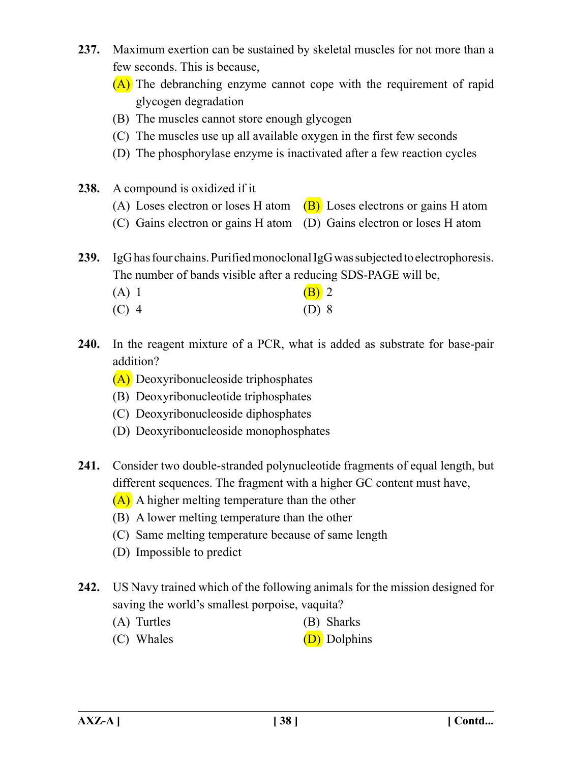- **237.** Maximum exertion can be sustained by skeletal muscles for not more than a few seconds. This is because,
	- (A) The debranching enzyme cannot cope with the requirement of rapid glycogen degradation
	- (B) The muscles cannot store enough glycogen
	- (C) The muscles use up all available oxygen in the first few seconds
	- (D) The phosphorylase enzyme is inactivated after a few reaction cycles
- **238.** A compound is oxidized if it
	- (A) Loses electron or loses H atom  $(B)$  Loses electrons or gains H atom
	- (C) Gains electron or gains H atom (D) Gains electron or loses H atom

**239.** IgG has four chains. Purified monoclonal IgG was subjected to electrophoresis. The number of bands visible after a reducing SDS-PAGE will be,

| $(A)$ 1 | $(B)$ 2 |  |
|---------|---------|--|
| $(C)$ 4 | $(D)$ 8 |  |

- **240.** In the reagent mixture of a PCR, what is added as substrate for base-pair addition?
	- (A) Deoxyribonucleoside triphosphates
	- (B) Deoxyribonucleotide triphosphates
	- (C) Deoxyribonucleoside diphosphates
	- (D) Deoxyribonucleoside monophosphates
- **241.** Consider two double-stranded polynucleotide fragments of equal length, but different sequences. The fragment with a higher GC content must have,
	- (A) A higher melting temperature than the other
	- (B) A lower melting temperature than the other
	- (C) Same melting temperature because of same length
	- (D) Impossible to predict
- **242.** US Navy trained which of the following animals for the mission designed for saving the world's smallest porpoise, vaquita?
	- (A) Turtles (B) Sharks
	- (C) Whales  $(D)$  Dolphins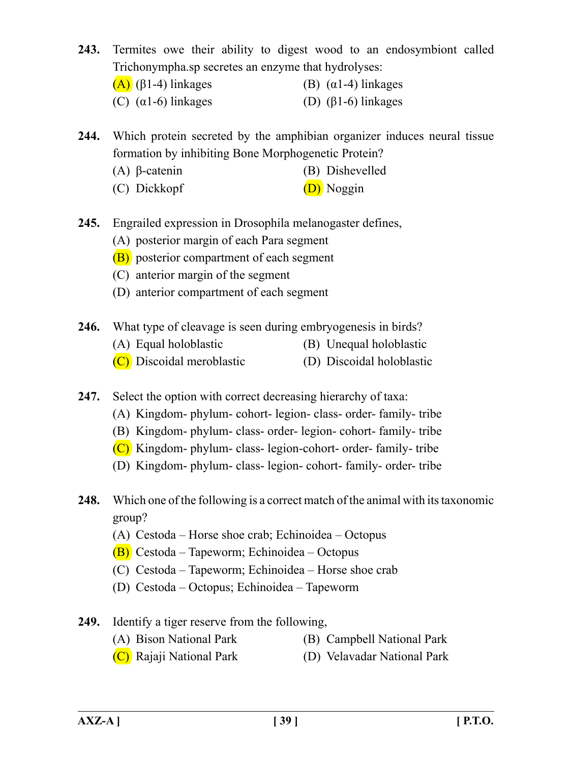- **243.** Termites owe their ability to digest wood to an endosymbiont called Trichonympha.sp secretes an enzyme that hydrolyses:
	- (A) ( $\beta$ 1-4) linkages (B) ( $\alpha$ 1-4) linkages
	- (C)  $(\alpha 1-6)$  linkages (D)  $(\beta 1-6)$  linkages

**244.** Which protein secreted by the amphibian organizer induces neural tissue formation by inhibiting Bone Morphogenetic Protein?

- (A) β-catenin (B) Dishevelled
- (C) Dickkopf (D) Noggin
- **245.** Engrailed expression in Drosophila melanogaster defines,
	- (A) posterior margin of each Para segment
	- (B) posterior compartment of each segment
	- (C) anterior margin of the segment
	- (D) anterior compartment of each segment
- **246.** What type of cleavage is seen during embryogenesis in birds?
	- (A) Equal holoblastic (B) Unequal holoblastic
	- (C) Discoidal meroblastic (D) Discoidal holoblastic

**247.** Select the option with correct decreasing hierarchy of taxa:

- (A) Kingdom- phylum- cohort- legion- class- order- family- tribe
- (B) Kingdom- phylum- class- order- legion- cohort- family- tribe
- (C) Kingdom- phylum- class- legion-cohort- order- family- tribe
- (D) Kingdom- phylum- class- legion- cohort- family- order- tribe
- **248.** Which one of the following is a correct match of the animal with its taxonomic group?
	- (A) Cestoda Horse shoe crab; Echinoidea Octopus
	- (B) Cestoda Tapeworm; Echinoidea Octopus
	- (C) Cestoda Tapeworm; Echinoidea Horse shoe crab
	- (D) Cestoda Octopus; Echinoidea Tapeworm
- **249.** Identify a tiger reserve from the following,
	- (A) Bison National Park (B) Campbell National Park
	- (C) Rajaji National Park (D) Velavadar National Park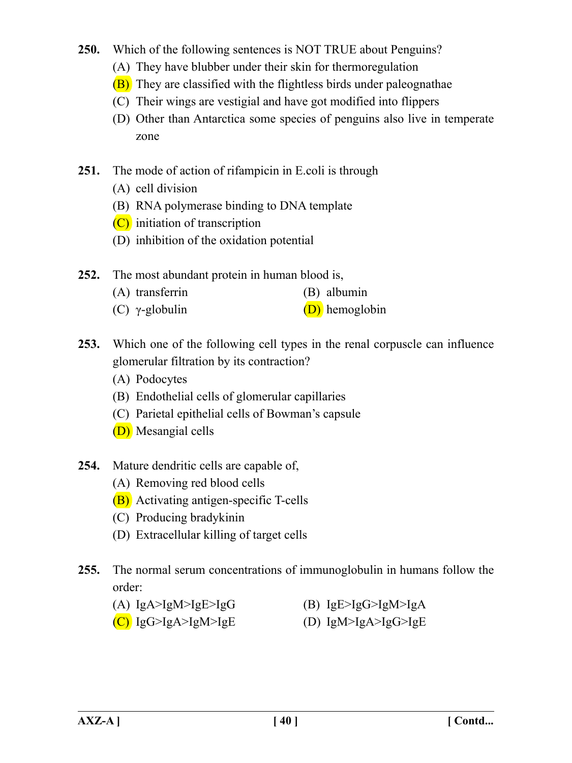- **250.** Which of the following sentences is NOT TRUE about Penguins?
	- (A) They have blubber under their skin for thermoregulation
	- (B) They are classified with the flightless birds under paleognathae
	- (C) Their wings are vestigial and have got modified into flippers
	- (D) Other than Antarctica some species of penguins also live in temperate zone
- **251.** The mode of action of rifampicin in E.coli is through
	- (A) cell division
	- (B) RNA polymerase binding to DNA template
	- (C) initiation of transcription
	- (D) inhibition of the oxidation potential
- **252.** The most abundant protein in human blood is,
	- (A) transferrin (B) albumin
	- (C)  $\gamma$ -globulin (D) hemoglobin
- **253.** Which one of the following cell types in the renal corpuscle can influence glomerular filtration by its contraction?
	- (A) Podocytes
	- (B) Endothelial cells of glomerular capillaries
	- (C) Parietal epithelial cells of Bowman's capsule
	- (D) Mesangial cells
- **254.** Mature dendritic cells are capable of,
	- (A) Removing red blood cells
	- (B) Activating antigen-specific T-cells
	- (C) Producing bradykinin
	- (D) Extracellular killing of target cells
- **255.** The normal serum concentrations of immunoglobulin in humans follow the order:
	- (A)  $IgA > IgM > IgE > IgG$  (B)  $IgE > IgG > IgM > IgA$
	- $(C)$  IgG>IgA>IgM>IgE  $(D)$  IgM>IgA>IgG>IgE
-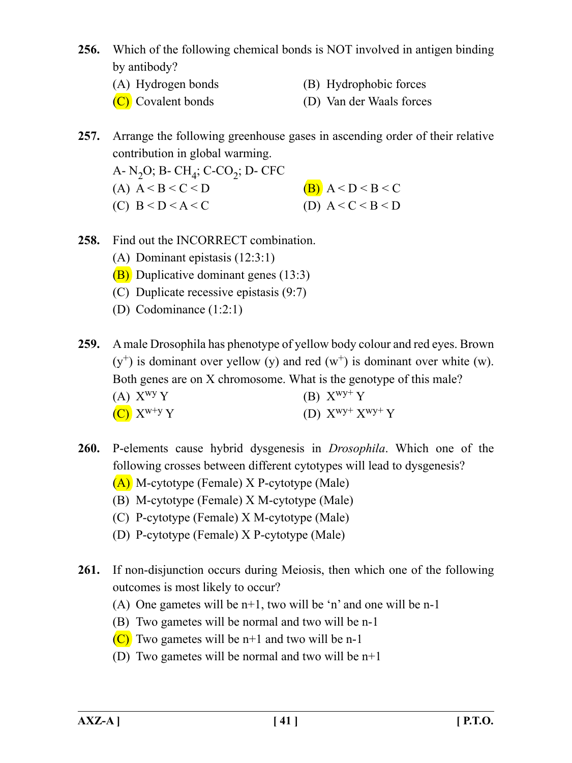- **256.** Which of the following chemical bonds is NOT involved in antigen binding by antibody?
	-
	- (A) Hydrogen bonds (B) Hydrophobic forces
	- (C) Covalent bonds (D) Van der Waals forces
- **257.** Arrange the following greenhouse gases in ascending order of their relative contribution in global warming.
	- A-  $N_2O$ ; B-  $CH_4$ ; C-CO<sub>2</sub>; D- CFC (A)  $A < B < C < D$  (B)  $A < D < B < C$ (C)  $B < D < A < C$  (D)  $A < C < B < D$
- **258.** Find out the INCORRECT combination.
	- (A) Dominant epistasis (12:3:1)
	- (B) Duplicative dominant genes (13:3)
	- (C) Duplicate recessive epistasis (9:7)
	- (D) Codominance (1:2:1)
- **259.** A male Drosophila has phenotype of yellow body colour and red eyes. Brown  $(y<sup>+</sup>)$  is dominant over yellow (y) and red  $(w<sup>+</sup>)$  is dominant over white (w). Both genes are on X chromosome. What is the genotype of this male? (A)  $X^{wy}Y$  (B)  $X^{wy+}Y$ (C)  $X^{w+y} Y$  (D)  $X^{wy+} X^{wy+} Y$
- **260.** P-elements cause hybrid dysgenesis in *Drosophila*. Which one of the following crosses between different cytotypes will lead to dysgenesis?
	- (A) M-cytotype (Female) X P-cytotype (Male)
	- (B) M-cytotype (Female) X M-cytotype (Male)
	- (C) P-cytotype (Female) X M-cytotype (Male)
	- (D) P-cytotype (Female) X P-cytotype (Male)
- **261.** If non-disjunction occurs during Meiosis, then which one of the following outcomes is most likely to occur?
	- (A) One gametes will be n+1, two will be 'n' and one will be n-1
	- (B) Two gametes will be normal and two will be n-1
	- $(C)$  Two gametes will be n+1 and two will be n-1
	- (D) Two gametes will be normal and two will be n+1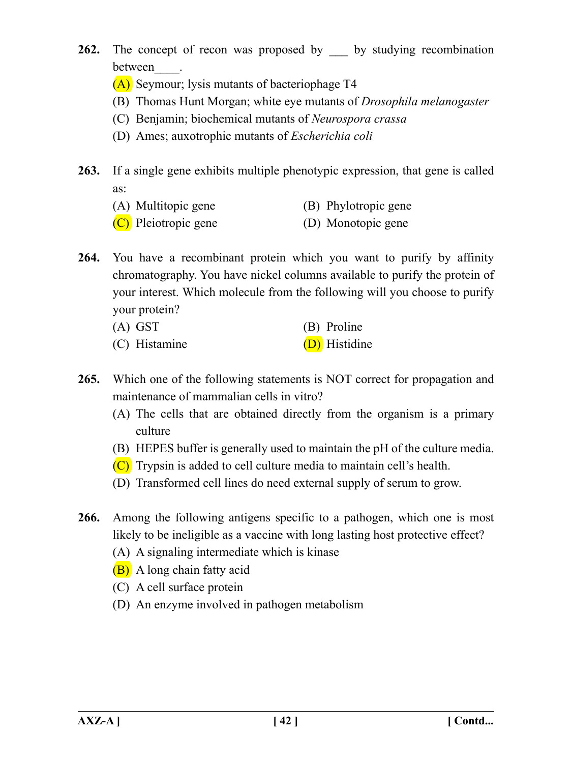- **262.** The concept of recon was proposed by by studying recombination between\_\_\_\_.
	- (A) Seymour; lysis mutants of bacteriophage T4
	- (B) Thomas Hunt Morgan; white eye mutants of *Drosophila melanogaster*
	- (C) Benjamin; biochemical mutants of *Neurospora crassa*
	- (D) Ames; auxotrophic mutants of *Escherichia coli*
- **263.** If a single gene exhibits multiple phenotypic expression, that gene is called as:
	- (A) Multitopic gene (B) Phylotropic gene
	- (C) Pleiotropic gene (D) Monotopic gene
- **264.** You have a recombinant protein which you want to purify by affinity chromatography. You have nickel columns available to purify the protein of your interest. Which molecule from the following will you choose to purify your protein?
	- (A) GST (B) Proline
	- (C) Histamine (D) Histidine
- **265.** Which one of the following statements is NOT correct for propagation and maintenance of mammalian cells in vitro?
	- (A) The cells that are obtained directly from the organism is a primary culture
	- (B) HEPES buffer is generally used to maintain the pH of the culture media.
	- (C) Trypsin is added to cell culture media to maintain cell's health.
	- (D) Transformed cell lines do need external supply of serum to grow.
- **266.** Among the following antigens specific to a pathogen, which one is most likely to be ineligible as a vaccine with long lasting host protective effect?
	- (A) A signaling intermediate which is kinase
	- (B) A long chain fatty acid
	- (C) A cell surface protein
	- (D) An enzyme involved in pathogen metabolism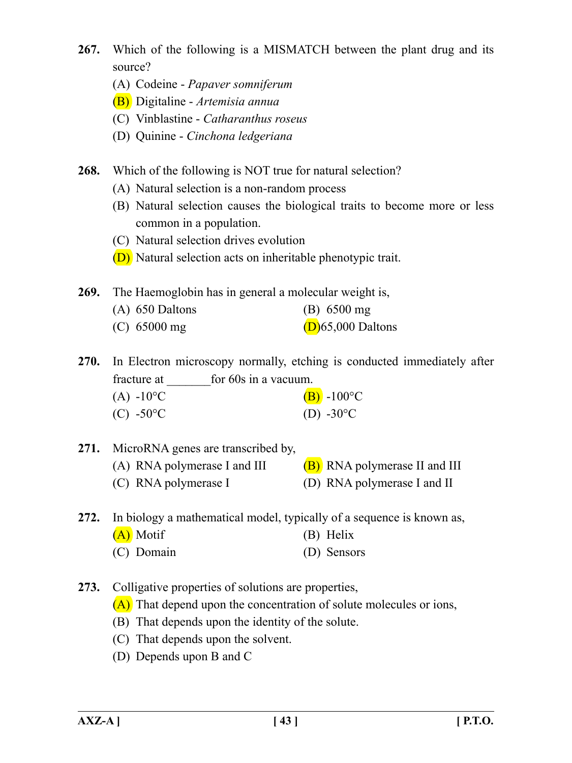- **267.** Which of the following is a MISMATCH between the plant drug and its source?
	- (A) Codeine *Papaver somniferum*
	- (B) Digitaline *Artemisia annua*
	- (C) Vinblastine *Catharanthus roseus*
	- (D) Quinine *Cinchona ledgeriana*
- **268.** Which of the following is NOT true for natural selection?
	- (A) Natural selection is a non-random process
	- (B) Natural selection causes the biological traits to become more or less common in a population.
	- (C) Natural selection drives evolution
	- (D) Natural selection acts on inheritable phenotypic trait.
- **269.** The Haemoglobin has in general a molecular weight is,

| $(A)$ 650 Daltons | $(B)$ 6500 mg        |
|-------------------|----------------------|
| $(C)$ 65000 mg    | $(D)$ 65,000 Daltons |

**270.** In Electron microscopy normally, etching is conducted immediately after fracture at for 60s in a vacuum.

| $(A) -10^{\circ}C$ | $(B)$ -100°C         |
|--------------------|----------------------|
| (C) -50 °C         | (D) -30 $^{\circ}$ C |

**271.** MicroRNA genes are transcribed by, (A) RNA polymerase I and III  $(B)$  RNA polymerase II and III (C) RNA polymerase I (D) RNA polymerase I and II

**272.** In biology a mathematical model, typically of a sequence is known as, (A) Motif (B) Helix (C) Domain (D) Sensors

- **273.** Colligative properties of solutions are properties,
	- (A) That depend upon the concentration of solute molecules or ions,
	- (B) That depends upon the identity of the solute.
	- (C) That depends upon the solvent.
	- (D) Depends upon B and C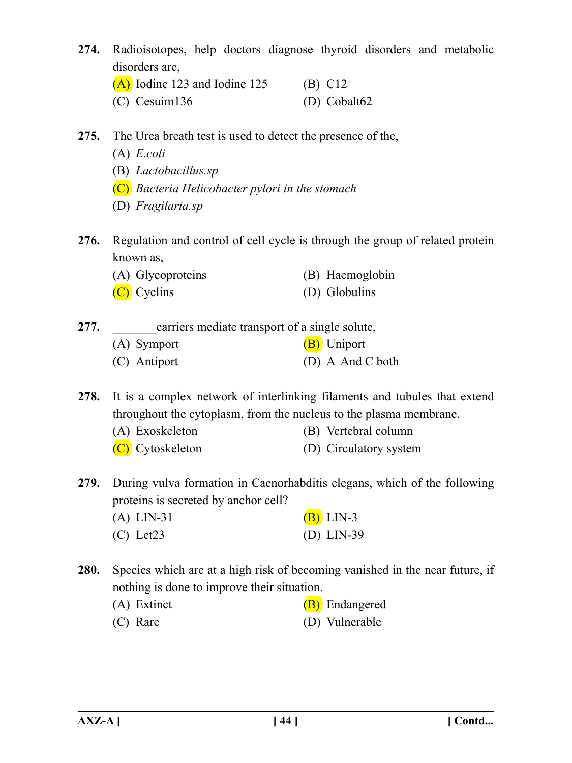**274.** Radioisotopes, help doctors diagnose thyroid disorders and metabolic disorders are,

| $(A)$ Iodine 123 and Iodine 125 | $(B)$ C12      |
|---------------------------------|----------------|
| $(C)$ Cesuim 136                | $(D)$ Cobalt62 |

- **275.** The Urea breath test is used to detect the presence of the,
	- (A) *E.coli*
	- (B) *Lactobacillus.sp*
	- (C) *Bacteria Helicobacter pylori in the stomach*
	- (D) *Fragilaria.sp*
- **276.** Regulation and control of cell cycle is through the group of related protein known as,
	- (A) Glycoproteins (B) Haemoglobin
	- (C) Cyclins (D) Globulins

**277.** carriers mediate transport of a single solute,

(A) Symport (B) Uniport (C) Antiport (D) A And C both

**278.** It is a complex network of interlinking filaments and tubules that extend throughout the cytoplasm, from the nucleus to the plasma membrane.

- (A) Exoskeleton (B) Vertebral column
- (C) Cytoskeleton (D) Circulatory system

**279.** During vulva formation in Caenorhabditis elegans, which of the following proteins is secreted by anchor cell?

| $(A)$ LIN-31   | $(B)$ LIN-3  |
|----------------|--------------|
| $(C)$ Let $23$ | (D) $LIN-39$ |

- **280.** Species which are at a high risk of becoming vanished in the near future, if nothing is done to improve their situation.
	- (A) Extinct  $(B)$  Endangered (C) Rare (D) Vulnerable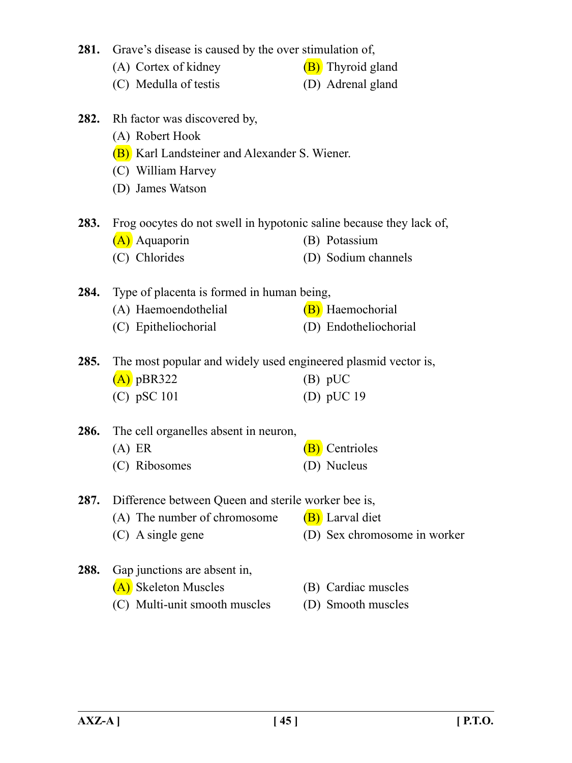|      | 281. Grave's disease is caused by the over stimulation of,                      |                              |  |  |
|------|---------------------------------------------------------------------------------|------------------------------|--|--|
|      | (A) Cortex of kidney                                                            | (B) Thyroid gland            |  |  |
|      | (C) Medulla of testis                                                           | (D) Adrenal gland            |  |  |
|      | 282. Rh factor was discovered by,                                               |                              |  |  |
|      | (A) Robert Hook                                                                 |                              |  |  |
|      | (B) Karl Landsteiner and Alexander S. Wiener.                                   |                              |  |  |
|      | (C) William Harvey                                                              |                              |  |  |
|      | (D) James Watson                                                                |                              |  |  |
|      | <b>283.</b> Frog oocytes do not swell in hypotonic saline because they lack of, |                              |  |  |
|      | (A) Aquaporin                                                                   | (B) Potassium                |  |  |
|      | (C) Chlorides                                                                   | (D) Sodium channels          |  |  |
|      | <b>284.</b> Type of placenta is formed in human being,                          |                              |  |  |
|      | (A) Haemoendothelial                                                            | (B) Haemochorial             |  |  |
|      | (C) Epitheliochorial                                                            | (D) Endotheliochorial        |  |  |
| 285. | The most popular and widely used engineered plasmid vector is,                  |                              |  |  |
|      | $(A)$ pBR322                                                                    | $(B)$ pUC                    |  |  |
|      | $(C)$ pSC 101                                                                   | (D) pUC 19                   |  |  |
| 286. | The cell organelles absent in neuron,                                           |                              |  |  |
|      | $(A)$ ER                                                                        | <b>B</b> ) Centrioles        |  |  |
|      | (C) Ribosomes                                                                   | (D) Nucleus                  |  |  |
| 287. | Difference between Queen and sterile worker bee is,                             |                              |  |  |
|      | (A) The number of chromosome                                                    | (B) Larval diet              |  |  |
|      | $(C)$ A single gene                                                             | (D) Sex chromosome in worker |  |  |
| 288. | Gap junctions are absent in,                                                    |                              |  |  |

- (A) Skeleton Muscles (B) Cardiac muscles
	-
	- (C) Multi-unit smooth muscles (D) Smooth muscles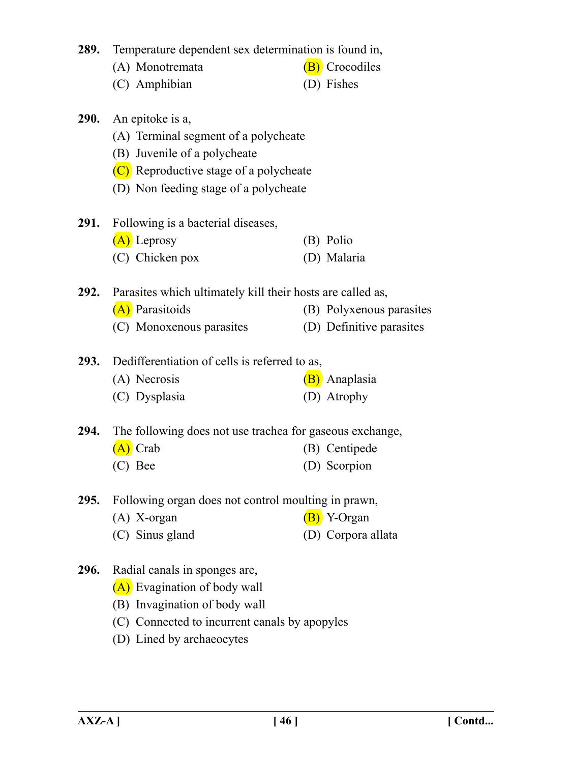|             | 289. Temperature dependent sex determination is found in,       |  |                          |  |
|-------------|-----------------------------------------------------------------|--|--------------------------|--|
|             | (A) Monotremata                                                 |  | <b>(B)</b> Crocodiles    |  |
|             | (C) Amphibian                                                   |  | (D) Fishes               |  |
|             | 290. An epitoke is a,                                           |  |                          |  |
|             | (A) Terminal segment of a polycheate                            |  |                          |  |
|             | (B) Juvenile of a polycheate                                    |  |                          |  |
|             | (C) Reproductive stage of a polycheate                          |  |                          |  |
|             | (D) Non feeding stage of a polycheate                           |  |                          |  |
| <b>291.</b> | Following is a bacterial diseases,                              |  |                          |  |
|             | $(A)$ Leprosy                                                   |  | (B) Polio                |  |
|             | (C) Chicken pox                                                 |  | (D) Malaria              |  |
|             | 292. Parasites which ultimately kill their hosts are called as, |  |                          |  |
|             | (A) Parasitoids                                                 |  | (B) Polyxenous parasites |  |
|             | (C) Monoxenous parasites                                        |  | (D) Definitive parasites |  |
|             | 293. Dedifferentiation of cells is referred to as,              |  |                          |  |
|             | (A) Necrosis                                                    |  | (B) Anaplasia            |  |
|             | (C) Dysplasia                                                   |  | (D) Atrophy              |  |
| 294.        | The following does not use trachea for gaseous exchange,        |  |                          |  |
|             | $(A)$ Crab                                                      |  | (B) Centipede            |  |
|             | (C) Bee                                                         |  | (D) Scorpion             |  |
| 295.        | Following organ does not control moulting in prawn,             |  |                          |  |
|             | $(A)$ X-organ                                                   |  | (B) Y-Organ              |  |
|             | (C) Sinus gland                                                 |  | (D) Corpora allata       |  |
| 296.        | Radial canals in sponges are,                                   |  |                          |  |
|             | (A) Evagination of body wall                                    |  |                          |  |
|             |                                                                 |  |                          |  |

- (B) Invagination of body wall
- (C) Connected to incurrent canals by apopyles
- (D) Lined by archaeocytes